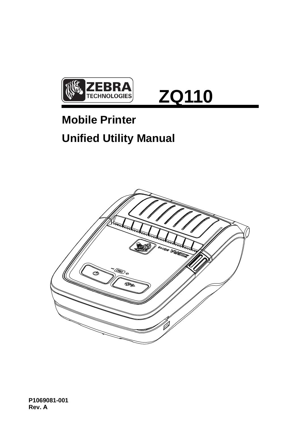

# **ZQ110**

# **Mobile Printer Unified Utility Manual**

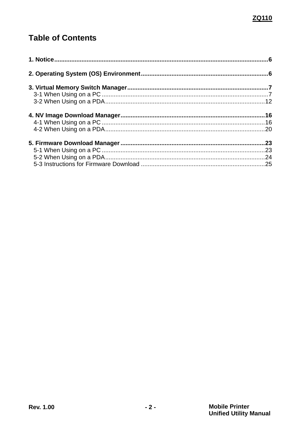# **Table of Contents**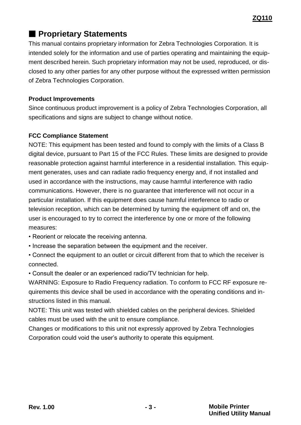# ■ **Proprietary Statements**

This manual contains proprietary information for Zebra Technologies Corporation. It is intended solely for the information and use of parties operating and maintaining the equipment described herein. Such proprietary information may not be used, reproduced, or disclosed to any other parties for any other purpose without the expressed written permission of Zebra Technologies Corporation.

#### **Product Improvements**

Since continuous product improvement is a policy of Zebra Technologies Corporation, all specifications and signs are subject to change without notice.

#### **FCC Compliance Statement**

NOTE: This equipment has been tested and found to comply with the limits of a Class B digital device, pursuant to Part 15 of the FCC Rules. These limits are designed to provide reasonable protection against harmful interference in a residential installation. This equipment generates, uses and can radiate radio frequency energy and, if not installed and used in accordance with the instructions, may cause harmful interference with radio communications. However, there is no guarantee that interference will not occur in a particular installation. If this equipment does cause harmful interference to radio or television reception, which can be determined by turning the equipment off and on, the user is encouraged to try to correct the interference by one or more of the following measures:

- Reorient or relocate the receiving antenna.
- Increase the separation between the equipment and the receiver.
- Connect the equipment to an outlet or circuit different from that to which the receiver is connected.
- Consult the dealer or an experienced radio/TV technician for help.

WARNING: Exposure to Radio Frequency radiation. To conform to FCC RF exposure requirements this device shall be used in accordance with the operating conditions and instructions listed in this manual.

NOTE: This unit was tested with shielded cables on the peripheral devices. Shielded cables must be used with the unit to ensure compliance.

Changes or modifications to this unit not expressly approved by Zebra Technologies Corporation could void the user's authority to operate this equipment.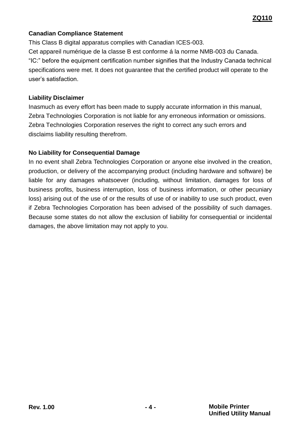#### **Canadian Compliance Statement**

This Class B digital apparatus complies with Canadian ICES-003. Cet appareil numérique de la classe B est conforme á la norme NMB-003 du Canada. "IC:" before the equipment certification number signifies that the Industry Canada technical specifications were met. It does not guarantee that the certified product will operate to the user's satisfaction.

#### **Liability Disclaimer**

Inasmuch as every effort has been made to supply accurate information in this manual, Zebra Technologies Corporation is not liable for any erroneous information or omissions. Zebra Technologies Corporation reserves the right to correct any such errors and disclaims liability resulting therefrom.

#### **No Liability for Consequential Damage**

In no event shall Zebra Technologies Corporation or anyone else involved in the creation, production, or delivery of the accompanying product (including hardware and software) be liable for any damages whatsoever (including, without limitation, damages for loss of business profits, business interruption, loss of business information, or other pecuniary loss) arising out of the use of or the results of use of or inability to use such product, even if Zebra Technologies Corporation has been advised of the possibility of such damages. Because some states do not allow the exclusion of liability for consequential or incidental damages, the above limitation may not apply to you.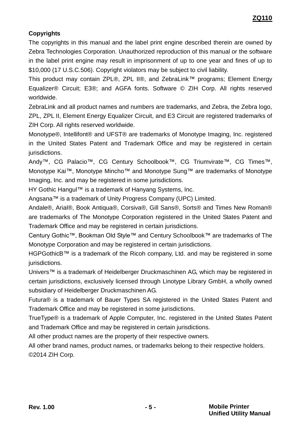#### **Copyrights**

The copyrights in this manual and the label print engine described therein are owned by Zebra Technologies Corporation. Unauthorized reproduction of this manual or the software in the label print engine may result in imprisonment of up to one year and fines of up to \$10,000 (17 U.S.C.506). Copyright violators may be subject to civil liability.

This product may contain ZPL®, ZPL II®, and ZebraLink™ programs; Element Energy Equalizer® Circuit; E3®; and AGFA fonts. Software © ZIH Corp. All rights reserved worldwide.

ZebraLink and all product names and numbers are trademarks, and Zebra, the Zebra logo, ZPL, ZPL II, Element Energy Equalizer Circuit, and E3 Circuit are registered trademarks of ZIH Corp. All rights reserved worldwide.

Monotype®, Intellifont® and UFST® are trademarks of Monotype Imaging, Inc. registered in the United States Patent and Trademark Office and may be registered in certain jurisdictions.

Andy™, CG Palacio™, CG Century Schoolbook™, CG Triumvirate™, CG Times™, Monotype Kai™, Monotype Mincho™ and Monotype Sung™ are trademarks of Monotype Imaging, Inc. and may be registered in some jurisdictions.

HY Gothic Hangul™ is a trademark of Hanyang Systems, Inc.

Angsana™ is a trademark of Unity Progress Company (UPC) Limited.

Andale®, Arial®, Book Antiqua®, Corsiva®, Gill Sans®, Sorts® and Times New Roman® are trademarks of The Monotype Corporation registered in the United States Patent and Trademark Office and may be registered in certain jurisdictions.

Century Gothic™, Bookman Old Style™ and Century Schoolbook™ are trademarks of The Monotype Corporation and may be registered in certain jurisdictions.

HGPGothicB™ is a trademark of the Ricoh company, Ltd. and may be registered in some jurisdictions.

Univers™ is a trademark of Heidelberger Druckmaschinen AG, which may be registered in certain jurisdictions, exclusively licensed through Linotype Library GmbH, a wholly owned subsidiary of Heidelberger Druckmaschinen AG.

Futura® is a trademark of Bauer Types SA registered in the United States Patent and Trademark Office and may be registered in some jurisdictions.

TrueType® is a trademark of Apple Computer, Inc. registered in the United States Patent and Trademark Office and may be registered in certain jurisdictions.

All other product names are the property of their respective owners.

All other brand names, product names, or trademarks belong to their respective holders. ©2014 ZIH Corp.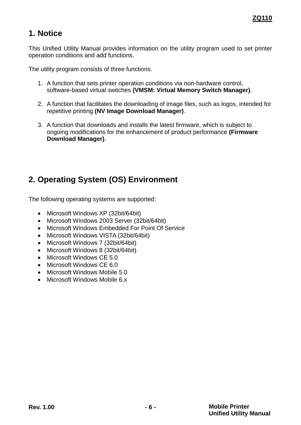# <span id="page-5-0"></span>**1. Notice**

This Unified Utility Manual provides information on the utility program used to set printer operation conditions and add functions.

The utility program consists of three functions.

- 1. A function that sets printer operation conditions via non-hardware control, software-based virtual switches **(VMSM: Virtual Memory Switch Manager)**.
- 2. A function that facilitates the downloading of image files, such as logos, intended for repetitive printing **(NV Image Download Manager)**.
- 3. A function that downloads and installs the latest firmware, which is subject to ongoing modifications for the enhancement of product performance **(Firmware Download Manager)**.

# <span id="page-5-1"></span>**2. Operating System (OS) Environment**

The following operating systems are supported:

- Microsoft Windows XP (32bit/64bit)
- Microsoft Windows 2003 Server (32bit/64bit)
- Microsoft Windows Embedded For Point Of Service
- Microsoft Windows VISTA (32bit/64bit)
- Microsoft Windows 7 (32bit/64bit)
- Microsoft Windows 8 (32bit/64bit)
- Microsoft Windows CF 5.0
- Microsoft Windows CE 6.0
- Microsoft Windows Mobile 5.0
- <span id="page-5-2"></span>Microsoft Windows Mobile 6.x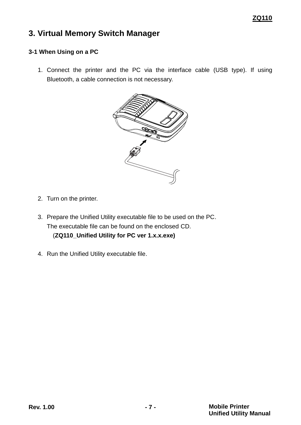# <span id="page-6-0"></span>**3. Virtual Memory Switch Manager**

#### <span id="page-6-1"></span>**3-1 When Using on a PC**

1. Connect the printer and the PC via the interface cable (USB type). If using Bluetooth, a cable connection is not necessary.



- 2. Turn on the printer.
- 3. Prepare the Unified Utility executable file to be used on the PC. The executable file can be found on the enclosed CD. (**ZQ110\_Unified Utility for PC ver 1.x.x.exe)**
- 4. Run the Unified Utility executable file.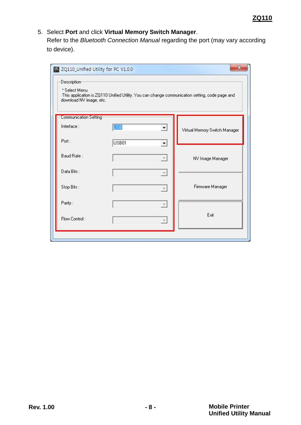#### 5. Select **Port** and click **Virtual Memory Switch Manager**.

Refer to the *Bluetooth Connection Manual* regarding the port (may vary according to device).

| x<br>ZQ110_Unified Utility for PC V1.0.0<br>Description <sup>®</sup><br>* Select Menu<br>This application is ZQ110 Unified Utility. You can change communication setting, code page and<br>download NV image, etc. |            |                           |                               |
|--------------------------------------------------------------------------------------------------------------------------------------------------------------------------------------------------------------------|------------|---------------------------|-------------------------------|
| Communication Setting                                                                                                                                                                                              |            |                           |                               |
| Interface:                                                                                                                                                                                                         | <b>USB</b> | ⊻                         | Virtual Memory Switch Manager |
| Port:                                                                                                                                                                                                              | USB01      | ▾╎                        |                               |
| Baud Rate:                                                                                                                                                                                                         |            | $\left  \right $          | NV Image Manager              |
| Data Bits:                                                                                                                                                                                                         |            | $\boldsymbol{\psi}$       |                               |
| Stop Bits:                                                                                                                                                                                                         |            | $\overline{\psi}$         | Firmware Manager              |
| Parity:                                                                                                                                                                                                            |            | $\boldsymbol{\mathrm{v}}$ |                               |
| Flow Control:                                                                                                                                                                                                      |            | $\overline{\mathcal{M}}$  | Exit                          |
|                                                                                                                                                                                                                    |            |                           |                               |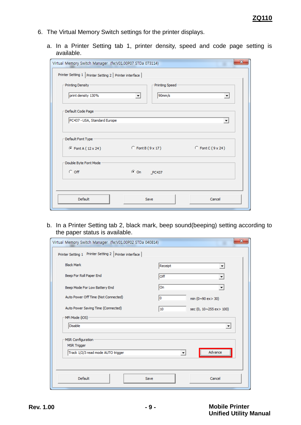- 6. The Virtual Memory Switch settings for the printer displays.
	- a. In a Printer Setting tab 1, printer density, speed and code page setting is available.

| $\mathbf{x}$<br>Virtual Memory Switch Manager (fw:V01.00P07 STDa 073114)                         |  |  |  |
|--------------------------------------------------------------------------------------------------|--|--|--|
| Printer Setting 1   Printer Setting 2   Printer interface                                        |  |  |  |
| Printing Density<br>Printing Speed                                                               |  |  |  |
| 90mm/s<br>print density 130%<br>$\vert$<br>$\blacktriangledown$                                  |  |  |  |
| Default Code Page                                                                                |  |  |  |
| PC437 - USA, Standard Europe<br>$\blacktriangledown$                                             |  |  |  |
| Default Font Type<br>$\circ$ Font B (9 x 17) $\circ$ Font C (9 x 24)<br>$\odot$ Font A (12 x 24) |  |  |  |
| Double Byte Font Mode                                                                            |  |  |  |
| $C$ off<br>© On PC437                                                                            |  |  |  |
|                                                                                                  |  |  |  |
| Default<br>Cancel<br>Save                                                                        |  |  |  |

b. In a Printer Setting tab 2, black mark, beep sound(beeping) setting according to the paper status is available.

| Virtual Memory Switch Manager (fw:V01.00P02 STDa 040814)                | $\mathbf{x}$                           |  |
|-------------------------------------------------------------------------|----------------------------------------|--|
| Printer Setting 1 Printer Setting 2 Printer interface                   |                                        |  |
| <b>Black Mark</b>                                                       | Receipt                                |  |
| Beep For Roll Paper End                                                 | Off                                    |  |
| Beep Mode For Low Battery End                                           | On                                     |  |
| Auto Power Off Time (Not Connected)                                     | o<br>min $(0 \sim 90 \text{ ex} > 30)$ |  |
| Auto Power Saving Time (Connected)<br>10<br>sec (0, 10~255 ex> 100)     |                                        |  |
| MFi Mode (iOS)<br><b>Disable</b>                                        | $\vert$                                |  |
| MSR Configuration                                                       |                                        |  |
| <b>MSR Trigger</b><br>Track 1/2/3 read mode AUTO trigger<br>Advance<br> |                                        |  |
|                                                                         |                                        |  |
| Default                                                                 | Cancel<br>Save                         |  |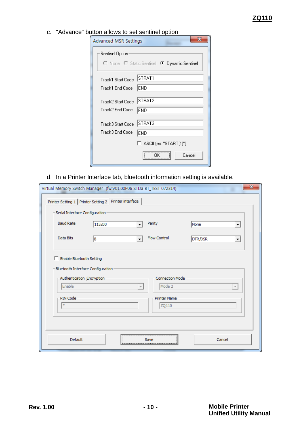c. "Advance" button allows to set sentinel option

| Advanced MSR Settings                                          | $\mathbf x$ |
|----------------------------------------------------------------|-------------|
| Sentinel Option<br>O None O Static Sentinel C Dynamic Sentinel |             |
| STRAT1<br>Track1 Start Code<br> END<br>Track1 End Code         |             |
| STRAT2<br>Track2 Start Code<br>Track2 End Code<br><b>END</b>   |             |
| STRAT3<br>Track3 Start Code<br>Track3 End Code<br><b>END</b>   |             |
| $\Box$ ASCII (ex: "START(1)")                                  | Cancel      |

d. In a Printer Interface tab, bluetooth information setting is available.

| Virtual Memory Switch Manager (fw:V01.00P06 STDa BT_TEST 072314)                                                     |                               | $\mathbf{x}$             |  |
|----------------------------------------------------------------------------------------------------------------------|-------------------------------|--------------------------|--|
| Printer Setting 1 Printer Setting 2 Printer interface                                                                |                               |                          |  |
| Serial Interface Configuration                                                                                       |                               |                          |  |
| <b>Baud Rate</b><br>115200                                                                                           | Parity                        | None<br>▼                |  |
| Data Bits<br>8                                                                                                       | Flow Control                  | DTR/DSR<br>▾             |  |
| Enable Bluetooth Setting<br>Bluetooth Interface Configuration<br><b>Connection Mode</b><br>Authentication Encryption |                               |                          |  |
| Enable                                                                                                               | Mode 2<br>$\overline{\nabla}$ | $\overline{\phantom{m}}$ |  |
| PIN Code<br>÷.                                                                                                       | <b>Printer Name</b><br>ZQ110  |                          |  |
| Default<br>Cancel<br>Save                                                                                            |                               |                          |  |
|                                                                                                                      |                               |                          |  |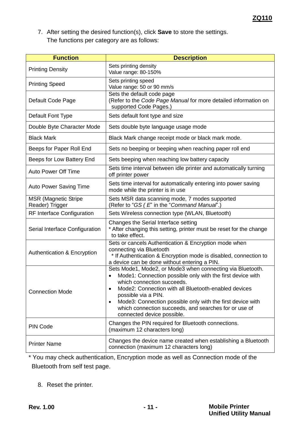7. After setting the desired function(s), click **Save** to store the settings. The functions per category are as follows:

| <b>Function</b>                                | <b>Description</b>                                                                                                                                                                                                                                                                                                                                                                              |  |
|------------------------------------------------|-------------------------------------------------------------------------------------------------------------------------------------------------------------------------------------------------------------------------------------------------------------------------------------------------------------------------------------------------------------------------------------------------|--|
| <b>Printing Density</b>                        | Sets printing density<br>Value range: 80-150%                                                                                                                                                                                                                                                                                                                                                   |  |
| <b>Printing Speed</b>                          | Sets printing speed<br>Value range: 50 or 90 mm/s                                                                                                                                                                                                                                                                                                                                               |  |
| Default Code Page                              | Sets the default code page<br>(Refer to the Code Page Manual for more detailed information on<br>supported Code Pages.)                                                                                                                                                                                                                                                                         |  |
| Default Font Type                              | Sets default font type and size                                                                                                                                                                                                                                                                                                                                                                 |  |
| Double Byte Character Mode                     | Sets double byte language usage mode                                                                                                                                                                                                                                                                                                                                                            |  |
| <b>Black Mark</b>                              | Black Mark change receipt mode or black mark mode.                                                                                                                                                                                                                                                                                                                                              |  |
| Beeps for Paper Roll End                       | Sets no beeping or beeping when reaching paper roll end                                                                                                                                                                                                                                                                                                                                         |  |
| Beeps for Low Battery End                      | Sets beeping when reaching low battery capacity                                                                                                                                                                                                                                                                                                                                                 |  |
| <b>Auto Power Off Time</b>                     | Sets time interval between idle printer and automatically turning<br>off printer power                                                                                                                                                                                                                                                                                                          |  |
| <b>Auto Power Saving Time</b>                  | Sets time interval for automatically entering into power saving<br>mode while the printer is in use                                                                                                                                                                                                                                                                                             |  |
| <b>MSR</b> (Magnetic Stripe<br>Reader) Trigger | Sets MSR data scanning mode, 7 modes supported<br>(Refer to "GS (E" in the "Command Manual".)                                                                                                                                                                                                                                                                                                   |  |
| <b>RF Interface Configuration</b>              | Sets Wireless connection type (WLAN, Bluetooth)                                                                                                                                                                                                                                                                                                                                                 |  |
| Serial Interface Configuration                 | Changes the Serial Interface setting<br>* After changing this setting, printer must be reset for the change<br>to take effect.                                                                                                                                                                                                                                                                  |  |
| Authentication & Encryption                    | Sets or cancels Authentication & Encryption mode when<br>connecting via Bluetooth<br>* If Authentication & Encryption mode is disabled, connection to<br>a device can be done without entering a PIN.                                                                                                                                                                                           |  |
| <b>Connection Mode</b>                         | Sets Mode1, Mode2, or Mode3 when connecting via Bluetooth.<br>Mode1: Connection possible only with the first device with<br>which connection succeeds.<br>Mode2: Connection with all Bluetooth-enabled devices<br>possible via a PIN.<br>Mode3: Connection possible only with the first device with<br>٠<br>which connection succeeds, and searches for or use of<br>connected device possible. |  |
| <b>PIN Code</b>                                | Changes the PIN required for Bluetooth connections.<br>(maximum 12 characters long)                                                                                                                                                                                                                                                                                                             |  |
| <b>Printer Name</b>                            | Changes the device name created when establishing a Bluetooth<br>connection (maximum 12 characters long)                                                                                                                                                                                                                                                                                        |  |

\* You may check authentication, Encryption mode as well as Connection mode of the Bluetooth from self test page.

8. Reset the printer.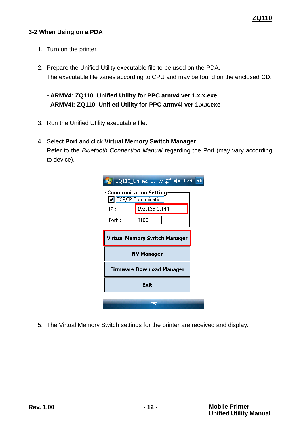#### **ZQ110**

#### <span id="page-11-0"></span>**3-2 When Using on a PDA**

- 1. Turn on the printer.
- 2. Prepare the Unified Utility executable file to be used on the PDA. The executable file varies according to CPU and may be found on the enclosed CD.

**- ARMV4: ZQ110\_Unified Utility for PPC armv4 ver 1.x.x.exe - ARMV4I: ZQ110\_Unified Utility for PPC armv4i ver 1.x.x.exe**

- 3. Run the Unified Utility executable file.
- 4. Select **Port** and click **Virtual Memory Switch Manager**. Refer to the *Bluetooth Connection Manual* regarding the Port (may vary according to device).

|                                      | ZQ110_Unified Utility $\stackrel{\bullet}{\bullet}$ < 3:29 ok |  |
|--------------------------------------|---------------------------------------------------------------|--|
|                                      | <b>Communication Setting</b><br>TCP/IP Comunication           |  |
| IP :                                 | 192.168.0.144                                                 |  |
| Port :                               | 9100                                                          |  |
| <b>Virtual Memory Switch Manager</b> |                                                               |  |
| <b>NV Manager</b>                    |                                                               |  |
| Firmware Download Manager            |                                                               |  |
| Exit                                 |                                                               |  |
|                                      |                                                               |  |

5. The Virtual Memory Switch settings for the printer are received and display.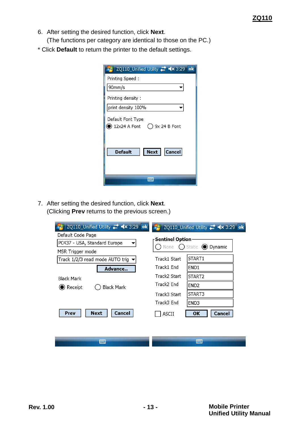6. After setting the desired function, click **Next**.

(The functions per category are identical to those on the PC.)

\* Click **Default** to return the printer to the default settings.

| ZQ110_Unified Utility <b>**</b> <x 3:29="" ok<="" th=""></x>        |
|---------------------------------------------------------------------|
| Printing Speed:                                                     |
| 90mm/s                                                              |
| Printing density :                                                  |
| print density 100%                                                  |
| Default Font Type<br>) 12x24 A Font<br>$($ $)$ 9 $\times$ 24 B Font |
| <b>Cancel</b><br>Next  <br><b>Default</b>                           |
|                                                                     |

7. After setting the desired function, click **Next**. (Clicking **Prev** returns to the previous screen.)

|                                                    |                                   |                  | ZQ110_Unified Utility # <> 3:29 ok       |
|----------------------------------------------------|-----------------------------------|------------------|------------------------------------------|
| Default Code Page                                  |                                   |                  |                                          |
|                                                    | PC437 - USA, Standard Europe      | -Sentinel Option | None $\bigcap$ Static $\bigcirc$ Dynamic |
| MSR Trigger mode                                   |                                   |                  |                                          |
|                                                    | Track 1/2/3 read mode AUTO trig : | Track1 Start     | START1                                   |
|                                                    | Advance                           | Track1 End       | END <sub>1</sub>                         |
| <b>Black Mark</b><br>$\blacktriangleright$ Receipt |                                   | Track2 Start     | START <sub>2</sub>                       |
|                                                    | <b>Black Mark</b>                 | Track2 End       | END <sub>2</sub>                         |
|                                                    |                                   | Track3 Start     | START3                                   |
|                                                    |                                   | Track3 End       | END3                                     |
| Prev                                               | Cancel<br><b>Next</b>             | <b>ASCII</b>     | OΚ<br><b>Cancel</b>                      |
|                                                    |                                   |                  |                                          |
|                                                    |                                   |                  |                                          |
|                                                    | 酾                                 |                  | WW.                                      |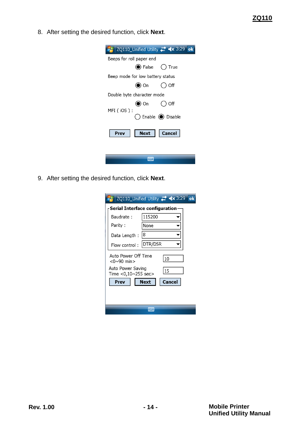8. After setting the desired function, click **Next**.

|                          |                                      | ZQ110_Unified Utility # <> 3:29<br>ok. |
|--------------------------|--------------------------------------|----------------------------------------|
| Beeps for roll paper end |                                      |                                        |
|                          | $\bigcirc$ False $\bigcirc$ True     |                                        |
|                          | Beep mode for low battery status     |                                        |
|                          | $\bullet$ On                         | ◯ Off                                  |
|                          | Double byte character mode           |                                        |
|                          | $\bigcirc$ On                        | ()Off                                  |
| MFI (iOS ) :             | $\bigcirc$ Enable $\bigcirc$ Disable |                                        |
| Prev                     | Next                                 | Cancel                                 |
|                          |                                      |                                        |
|                          |                                      |                                        |

9. After setting the desired function, click **Next**.

|                                          | ZQ110_Unified Utility <b>*** &lt;**</b> 3:29<br>$\overline{\mathsf{ok}}$ |
|------------------------------------------|--------------------------------------------------------------------------|
|                                          | Serial Interface configuration                                           |
| Baudrate:                                | 115200                                                                   |
| Parity :                                 | None                                                                     |
| Data Length:                             | 18                                                                       |
| Flow control:                            | DTR/DSR                                                                  |
| Auto Power Off Time<br><0~90 min>        | 10                                                                       |
| Auto Power Saving<br>Time <0,10~255 sec> | 15                                                                       |
| Prev                                     | <b>Next</b><br>Cancel                                                    |
|                                          |                                                                          |
|                                          |                                                                          |
|                                          |                                                                          |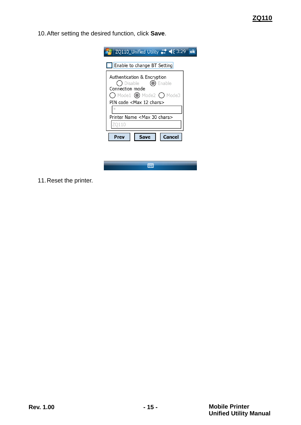10.After setting the desired function, click **Save**.

| ZQ110_Unified Utility ## < 3:29                                                                                            | lok |
|----------------------------------------------------------------------------------------------------------------------------|-----|
| <b>Enable to change BT Setting</b>                                                                                         |     |
| Authentication & Encryption<br>Disable -<br>Enable<br>Connection mode<br>$\bigcap$ Mode1 $\bigcirc$ Mode2 $\bigcirc$ Mode3 |     |
| PIN code <max 12="" chars=""><br/><math>\ast</math></max>                                                                  |     |
| Printer Name <max 30="" chars=""></max>                                                                                    |     |
| D110<br>Prev<br>Cancel                                                                                                     |     |
| Save                                                                                                                       |     |
|                                                                                                                            |     |
|                                                                                                                            |     |

11.Reset the printer.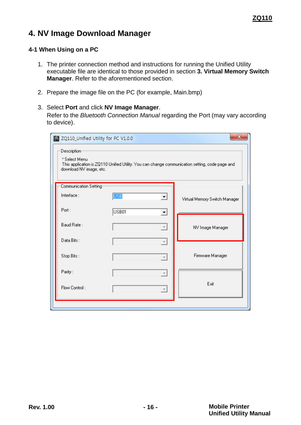# <span id="page-15-0"></span>**4. NV Image Download Manager**

#### <span id="page-15-1"></span>**4-1 When Using on a PC**

- 1. The printer connection method and instructions for running the Unified Utility executable file are identical to those provided in section **[3. Virtual Memory Switch](#page-5-2)  [Manager](#page-5-2)**. Refer to the aforementioned section.
- 2. Prepare the image file on the PC (for example, Main.bmp)
- 3. Select **Port** and click **NV Image Manager**.

Refer to the *Bluetooth Connection Manual* regarding the Port (may vary according to device).

| х<br>ZQ110_Unified Utility for PC V1.0.0<br>Description<br>* Select Menu<br>This application is ZQ110 Unified Utility. You can change communication setting, code page and<br>download NV image, etc. |            |                             |                               |  |  |
|-------------------------------------------------------------------------------------------------------------------------------------------------------------------------------------------------------|------------|-----------------------------|-------------------------------|--|--|
| Communication Setting                                                                                                                                                                                 |            |                             |                               |  |  |
| Interface:                                                                                                                                                                                            | <b>USB</b> | ⊻                           | Virtual Memory Switch Manager |  |  |
| Port:                                                                                                                                                                                                 | USB01      | ▾                           |                               |  |  |
| Baud Rate:                                                                                                                                                                                            |            | $\boldsymbol{\tau}$         | NV Image Manager              |  |  |
| Data Bits:                                                                                                                                                                                            |            | $\overline{\psi}$           |                               |  |  |
| Stop Bits:                                                                                                                                                                                            |            | $\overline{\phantom{m}}$    | Firmware Manager              |  |  |
| Parity:                                                                                                                                                                                               |            | $\boldsymbol{\mathrm{v}}$   |                               |  |  |
| Flow Control:                                                                                                                                                                                         |            | $\mathcal{L}_{\mathcal{F}}$ | Exit                          |  |  |
|                                                                                                                                                                                                       |            |                             |                               |  |  |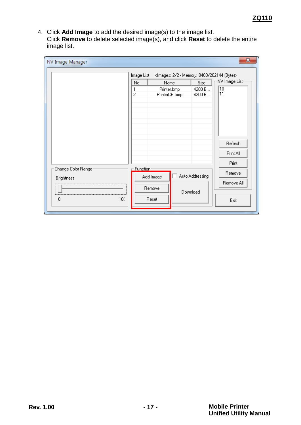4. Click **Add Image** to add the desired image(s) to the image list. Click **Remove** to delete selected image(s), and click **Reset** to delete the entire image list.

|                     | No.                 | Image List<br>Name           | <images: (byte)="" -="" 2="" 262144="" 8400="" memory:=""><br/>Size</images:> | NV Image List         |
|---------------------|---------------------|------------------------------|-------------------------------------------------------------------------------|-----------------------|
|                     | 1<br>$\overline{c}$ | Printer.bmp<br>PrinterCE.bmp | 4200 B<br>4200 B                                                              | $\overline{10}$<br>11 |
|                     |                     |                              |                                                                               |                       |
|                     |                     |                              |                                                                               |                       |
|                     |                     |                              |                                                                               | Refresh               |
|                     |                     |                              |                                                                               | Print All             |
|                     |                     |                              |                                                                               | Print                 |
| Change Color Ranger |                     | Function:<br>Add Image       | Auto Addressing                                                               | Remove                |
| <b>Brightness</b>   |                     |                              |                                                                               | Remove All            |
|                     |                     | Remove                       | Download                                                                      |                       |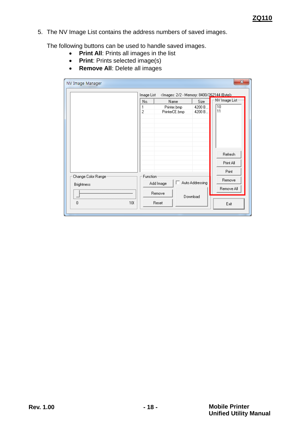5. The NV Image List contains the address numbers of saved images.

The following buttons can be used to handle saved images.

- **Print All: Prints all images in the list**
- **•** Print: Prints selected image(s)
- **Remove All**: Delete all images

| NV Image Manager   |            |                                                                      |                  | $\mathbf x$    |
|--------------------|------------|----------------------------------------------------------------------|------------------|----------------|
|                    | Image List | <images: (bytel="" -="" 2="" 262144="" 8400="" memory:=""></images:> |                  |                |
|                    | No.        | Name                                                                 | Size             | NV Image List: |
|                    | 1<br>2     | Printer.bmp<br>PrinterCE.bmp                                         | 4200 B<br>4200 B | 10<br>11       |
|                    |            |                                                                      |                  |                |
|                    |            |                                                                      |                  |                |
|                    |            |                                                                      |                  |                |
|                    |            |                                                                      |                  |                |
|                    |            |                                                                      |                  |                |
|                    |            |                                                                      |                  | Refresh        |
|                    |            |                                                                      |                  | Print All      |
|                    |            |                                                                      |                  |                |
| Change Color Range | Function   |                                                                      |                  | Print          |
|                    |            | Add Image                                                            | Auto Addressing  | Remove         |
| <b>Brightness</b>  |            |                                                                      |                  | Remove All     |
|                    |            | Remove                                                               | Download         |                |
| 0<br>100           |            | Reset                                                                |                  | Exit           |
|                    |            |                                                                      |                  |                |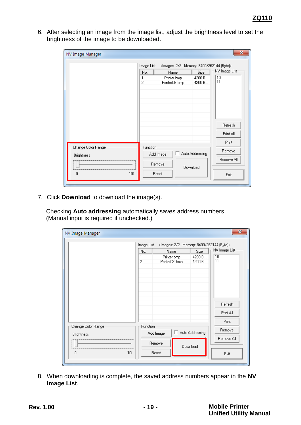6. After selecting an image from the image list, adjust the brightness level to set the brightness of the image to be downloaded.

| NV Image Manager   | Image List    | <images: (byte)="" -="" 2="" 262144="" 8400="" memory:=""></images:> |                             | x                                      |
|--------------------|---------------|----------------------------------------------------------------------|-----------------------------|----------------------------------------|
|                    | No.<br>1<br>2 | Name<br>Printer.bmp<br>PrinterCE.bmp                                 | Size<br>4200 B<br>4200 B    | NV Image List <sup>.</sup><br>10<br>11 |
| Change Color Range | Function      |                                                                      |                             | Refresh<br>Print All<br>Print          |
| <b>Brightness</b>  |               | п<br>Add Image<br>Remove                                             | Auto Addressing<br>Download | Remove<br>Remove All                   |
| 10(<br>0           |               | Reset                                                                |                             | Exit                                   |

7. Click **Download** to download the image(s).

Checking **Auto addressing** automatically saves address numbers. (Manual input is required if unchecked.)

|                     |     | Image List          |                              |                  | <images: (byte)="" -="" 2="" 262144="" 8400="" memory:=""></images:> |
|---------------------|-----|---------------------|------------------------------|------------------|----------------------------------------------------------------------|
|                     |     | No.                 | Name                         | Size             | NV Image List                                                        |
|                     |     | 1<br>$\overline{c}$ | Printer.bmp<br>PrinterCE.bmp | 4200 B<br>4200 B | 10<br>11                                                             |
|                     |     |                     |                              |                  |                                                                      |
|                     |     |                     |                              |                  |                                                                      |
|                     |     |                     |                              |                  |                                                                      |
|                     |     |                     |                              |                  |                                                                      |
|                     |     |                     |                              |                  |                                                                      |
|                     |     |                     |                              |                  | Refresh                                                              |
|                     |     |                     |                              |                  | Print All                                                            |
|                     |     |                     |                              |                  | Print                                                                |
| Change Color Range: |     | Function            |                              |                  | Remove                                                               |
| <b>Brightness</b>   |     |                     | Add Image                    | Auto Addressing  |                                                                      |
|                     |     |                     | Remove                       |                  | Remove All                                                           |
| 0                   | 100 |                     | Reset                        | Download         |                                                                      |
|                     |     |                     |                              |                  | Exit                                                                 |

8. When downloading is complete, the saved address numbers appear in the **NV Image List**.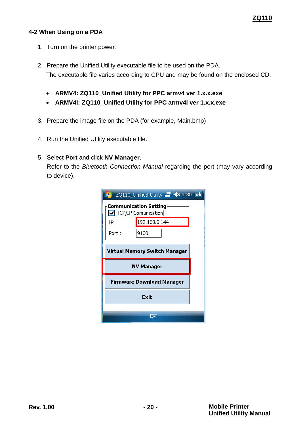#### **ZQ110**

#### <span id="page-19-0"></span>**4-2 When Using on a PDA**

- 1. Turn on the printer power.
- 2. Prepare the Unified Utility executable file to be used on the PDA. The executable file varies according to CPU and may be found on the enclosed CD.
	- **ARMV4: ZQ110\_Unified Utility for PPC armv4 ver 1.x.x.exe**
	- **ARMV4I: ZQ110\_Unified Utility for PPC armv4i ver 1.x.x.exe**
- 3. Prepare the image file on the PDA (for example, Main.bmp)
- 4. Run the Unified Utility executable file.

#### 5. Select **Port** and click **NV Manager**.

Refer to the *Bluetooth Connection Manual* regarding the port (may vary according to device).

|                                  | ZQ110_Unified Utility # <> << 4:30 ok               |  |  |  |  |
|----------------------------------|-----------------------------------------------------|--|--|--|--|
|                                  | <b>Communication Setting</b><br>TCP/IP Comunication |  |  |  |  |
| IP:                              | 192.168.0.144                                       |  |  |  |  |
| Port :                           | 9100                                                |  |  |  |  |
| Virtual Memory Switch Manager    |                                                     |  |  |  |  |
| <b>NV Manager</b>                |                                                     |  |  |  |  |
| <b>Firmware Download Manager</b> |                                                     |  |  |  |  |
| Exit                             |                                                     |  |  |  |  |
|                                  |                                                     |  |  |  |  |
|                                  |                                                     |  |  |  |  |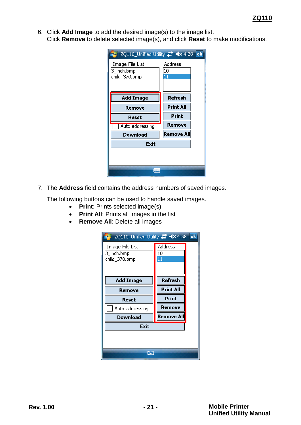6. Click **Add Image** to add the desired image(s) to the image list. Click **Remove** to delete selected image(s), and click **Reset** to make modifications.

|                                                | ok                  |
|------------------------------------------------|---------------------|
| Image File List<br>3_inch.bmp<br>child_370.bmp | Address<br>10<br>11 |
| <b>Add Image</b>                               | Refresh             |
| Remove                                         | <b>Print All</b>    |
| Reset                                          | Print               |
| Auto addressing                                | <b>Remove</b>       |
| Download                                       | Remove All          |
| Exit                                           |                     |
|                                                |                     |
|                                                |                     |

7. The **Address** field contains the address numbers of saved images.

The following buttons can be used to handle saved images.

- **•** Print: Prints selected image(s)
- **Print All: Prints all images in the list**
- **Remove All: Delete all images**

| ZQ110_Unified Utility # <<<x 4:38              |                            | $\overline{\mathbf{ok}}$ |  |  |  |
|------------------------------------------------|----------------------------|--------------------------|--|--|--|
| Image File List<br>3_inch.bmp<br>child_370.bmp | <b>Address</b><br>10<br>11 |                          |  |  |  |
| <b>Add Image</b>                               | Refresh                    |                          |  |  |  |
| Remove                                         | <b>Print All</b>           |                          |  |  |  |
| Reset                                          | Print                      |                          |  |  |  |
| Auto addressing                                | <b>Remove</b>              |                          |  |  |  |
| Download                                       | <b>Remove All</b>          |                          |  |  |  |
| Exit                                           |                            |                          |  |  |  |
| <b>WWW</b>                                     |                            |                          |  |  |  |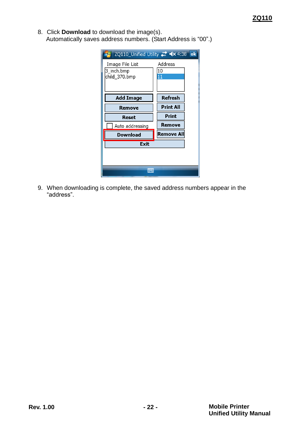8. Click **Download** to download the image(s). Automatically saves address numbers. (Start Address is "00".)

|                                                | $  \mathbf{ok}  $   |
|------------------------------------------------|---------------------|
| Image File List<br>3_inch.bmp<br>child_370.bmp | Address<br>10<br>11 |
| <b>Add Image</b>                               | <b>Refresh</b>      |
| Remove                                         | <b>Print All</b>    |
| Reset                                          | Print               |
|                                                |                     |
| Auto addressing                                | Remove              |
| Download                                       | Remove All          |
| <b>Exit</b>                                    |                     |
|                                                |                     |

9. When downloading is complete, the saved address numbers appear in the "address".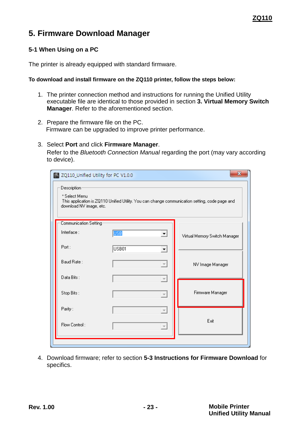### <span id="page-22-0"></span>**5. Firmware Download Manager**

#### <span id="page-22-1"></span>**5-1 When Using on a PC**

The printer is already equipped with standard firmware.

#### **To download and install firmware on the ZQ110 printer, follow the steps below:**

- 1. The printer connection method and instructions for running the Unified Utility executable file are identical to those provided in section **[3. Virtual Memory Switch](#page-5-2)  [Manager](#page-5-2)**. Refer to the aforementioned section.
- 2. Prepare the firmware file on the PC. Firmware can be upgraded to improve printer performance.
- 3. Select **Port** and click **Firmware Manager**. Refer to the *Bluetooth Connection Manual* regarding the port (may vary according to device).

| ZQ110_Unified Utility for PC V1.0.0                     |            |                           | $\mathbf{x}$                                                                                   |
|---------------------------------------------------------|------------|---------------------------|------------------------------------------------------------------------------------------------|
| Description<br>* Select Menu<br>download NV image, etc. |            |                           | This application is ZQ110 Unified Utility. You can change communication setting, code page and |
| Communication Setting                                   |            |                           |                                                                                                |
| Interface:                                              | <b>USB</b> | ▼∣                        | Virtual Memory Switch Manager                                                                  |
| Port:                                                   | USB01      | $\blacktriangledown$      |                                                                                                |
| Baud Rate:                                              |            | $\overline{\psi}$         | NV Image Manager                                                                               |
| Data Bits:                                              |            | $\overline{\nabla}$       |                                                                                                |
| Stop Bits:                                              |            | $\boldsymbol{\mathrm{v}}$ | Firmware Manager                                                                               |
| Parity:                                                 |            | $\overline{\nabla}$       |                                                                                                |
| Flow Control:                                           |            | $\gamma_{\rm F}$          | Exit                                                                                           |
|                                                         |            |                           |                                                                                                |

4. Download firmware; refer to section **[5-3 Instructions for Firmware Download](#page-24-0)** for specifics.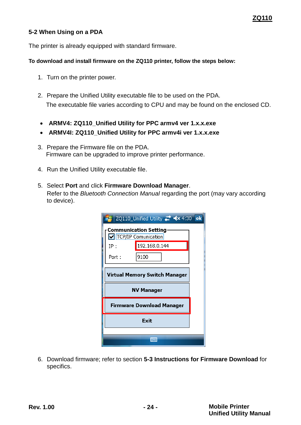#### <span id="page-23-0"></span>**5-2 When Using on a PDA**

The printer is already equipped with standard firmware.

#### **To download and install firmware on the ZQ110 printer, follow the steps below:**

- 1. Turn on the printer power.
- 2. Prepare the Unified Utility executable file to be used on the PDA. The executable file varies according to CPU and may be found on the enclosed CD.
- **ARMV4: ZQ110\_Unified Utility for PPC armv4 ver 1.x.x.exe**
- **ARMV4I: ZQ110\_Unified Utility for PPC armv4i ver 1.x.x.exe**
- 3. Prepare the Firmware file on the PDA. Firmware can be upgraded to improve printer performance.
- 4. Run the Unified Utility executable file.
- 5. Select **Port** and click **Firmware Download Manager**. Refer to the *Bluetooth Connection Manual* regarding the port (may vary according to device).

|                                  | ZQ110_Unified Utility <b>##</b> <× 4:30 ok          |  |  |  |  |
|----------------------------------|-----------------------------------------------------|--|--|--|--|
|                                  | <b>Communication Setting</b><br>TCP/IP Comunication |  |  |  |  |
| IP:                              | 192.168.0.144                                       |  |  |  |  |
| Port:                            | 9100                                                |  |  |  |  |
| Virtual Memory Switch Manager    |                                                     |  |  |  |  |
| <b>NV Manager</b>                |                                                     |  |  |  |  |
| <b>Firmware Download Manager</b> |                                                     |  |  |  |  |
| Exit                             |                                                     |  |  |  |  |
|                                  |                                                     |  |  |  |  |
|                                  |                                                     |  |  |  |  |

6. Download firmware; refer to section **[5-3 Instructions for Firmware Download](#page-24-0)** for specifics.